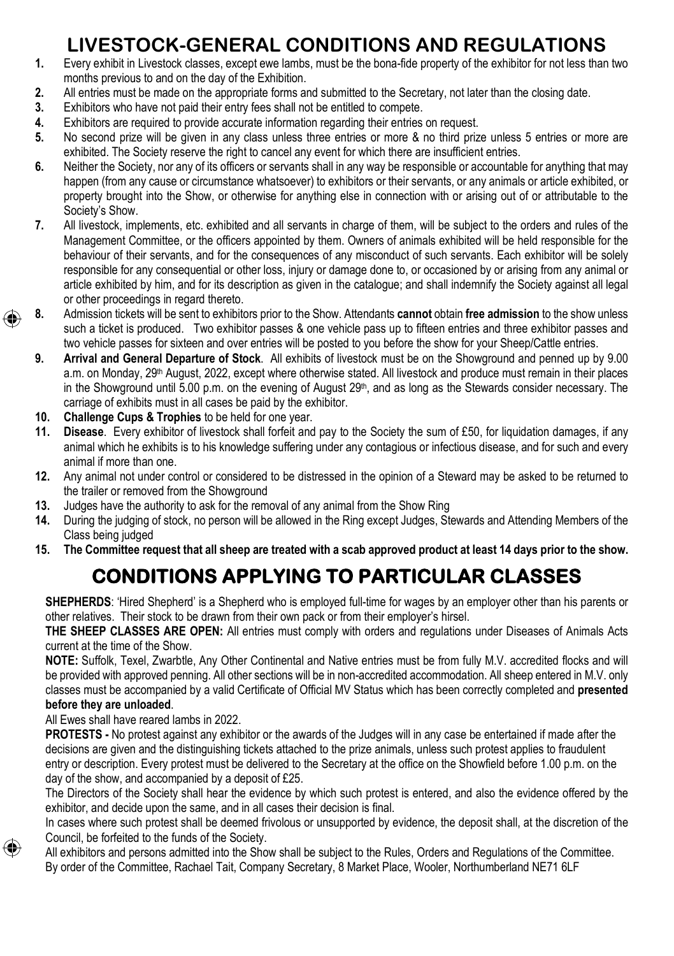### **LIVESTOCK-GENERAL CONDITIONS AND REGULATIONS**

- **1.** Every exhibit in Livestock classes, except ewe lambs, must be the bona-fide property of the exhibitor for not less than two months previous to and on the day of the Exhibition.
- **2.** All entries must be made on the appropriate forms and submitted to the Secretary, not later than the closing date.<br>**3.** Exhibitors who have not paid their entry fees shall not be entitled to compete.
- **3.** Exhibitors who have not paid their entry fees shall not be entitled to compete.<br>**4.** Exhibitors are required to provide accurate information regarding their entries
- **4.** Exhibitors are required to provide accurate information regarding their entries on request.<br>**5.** No second prize will be given in any class unless three entries or more & no third priz
- **5.** No second prize will be given in any class unless three entries or more & no third prize unless 5 entries or more are exhibited. The Society reserve the right to cancel any event for which there are insufficient entries.
- **6.** Neither the Society, nor any of its officers or servants shall in any way be responsible or accountable for anything that may happen (from any cause or circumstance whatsoever) to exhibitors or their servants, or any animals or article exhibited, or property brought into the Show, or otherwise for anything else in connection with or arising out of or attributable to the Society's Show.
- **7.** All livestock, implements, etc. exhibited and all servants in charge of them, will be subject to the orders and rules of the Management Committee, or the officers appointed by them. Owners of animals exhibited will be held responsible for the behaviour of their servants, and for the consequences of any misconduct of such servants. Each exhibitor will be solely responsible for any consequential or other loss, injury or damage done to, or occasioned by or arising from any animal or article exhibited by him, and for its description as given in the catalogue; and shall indemnify the Society against all legal or other proceedings in regard thereto.
- **8.** Admission tickets will be sent to exhibitors prior to the Show. Attendants **cannot** obtain **free admission** to the show unless such a ticket is produced. Two exhibitor passes & one vehicle pass up to fifteen entries and three exhibitor passes and two vehicle passes for sixteen and over entries will be posted to you before the show for your Sheep/Cattle entries.
	- **9. Arrival and General Departure of Stock**. All exhibits of livestock must be on the Showground and penned up by 9.00 a.m. on Monday, 29th August, 2022, except where otherwise stated. All livestock and produce must remain in their places in the Showground until 5.00 p.m. on the evening of August 29<sup>th</sup>, and as long as the Stewards consider necessary. The carriage of exhibits must in all cases be paid by the exhibitor.
	- **10. Challenge Cups & Trophies** to be held for one year.
	- **Disease**. Every exhibitor of livestock shall forfeit and pay to the Society the sum of £50, for liquidation damages, if any animal which he exhibits is to his knowledge suffering under any contagious or infectious disease, and for such and every animal if more than one.
	- **12.** Any animal not under control or considered to be distressed in the opinion of a Steward may be asked to be returned to the trailer or removed from the Showground
	- **13.** Judges have the authority to ask for the removal of any animal from the Show Ring
	- **14.** During the judging of stock, no person will be allowed in the Ring except Judges, Stewards and Attending Members of the Class being judged
	- **15. The Committee request that all sheep are treated with a scab approved product at least 14 days prior to the show.**

## **CONDITIONS APPLYING TO PARTICULAR CLASSES**

**SHEPHERDS**: 'Hired Shepherd' is a Shepherd who is employed full-time for wages by an employer other than his parents or other relatives. Their stock to be drawn from their own pack or from their employer's hirsel.

**THE SHEEP CLASSES ARE OPEN:** All entries must comply with orders and regulations under Diseases of Animals Acts current at the time of the Show.

**NOTE:** Suffolk, Texel, Zwarbtle, Any Other Continental and Native entries must be from fully M.V. accredited flocks and will be provided with approved penning. All other sections will be in non-accredited accommodation. All sheep entered in M.V. only classes must be accompanied by a valid Certificate of Official MV Status which has been correctly completed and **presented before they are unloaded**.

All Ewes shall have reared lambs in 2022.

**PROTESTS -** No protest against any exhibitor or the awards of the Judges will in any case be entertained if made after the decisions are given and the distinguishing tickets attached to the prize animals, unless such protest applies to fraudulent entry or description. Every protest must be delivered to the Secretary at the office on the Showfield before 1.00 p.m. on the day of the show, and accompanied by a deposit of £25.

The Directors of the Society shall hear the evidence by which such protest is entered, and also the evidence offered by the exhibitor, and decide upon the same, and in all cases their decision is final.

In cases where such protest shall be deemed frivolous or unsupported by evidence, the deposit shall, at the discretion of the Council, be forfeited to the funds of the Society.

⊕

All exhibitors and persons admitted into the Show shall be subject to the Rules, Orders and Regulations of the Committee. By order of the Committee, Rachael Tait, Company Secretary, 8 Market Place, Wooler, Northumberland NE71 6LF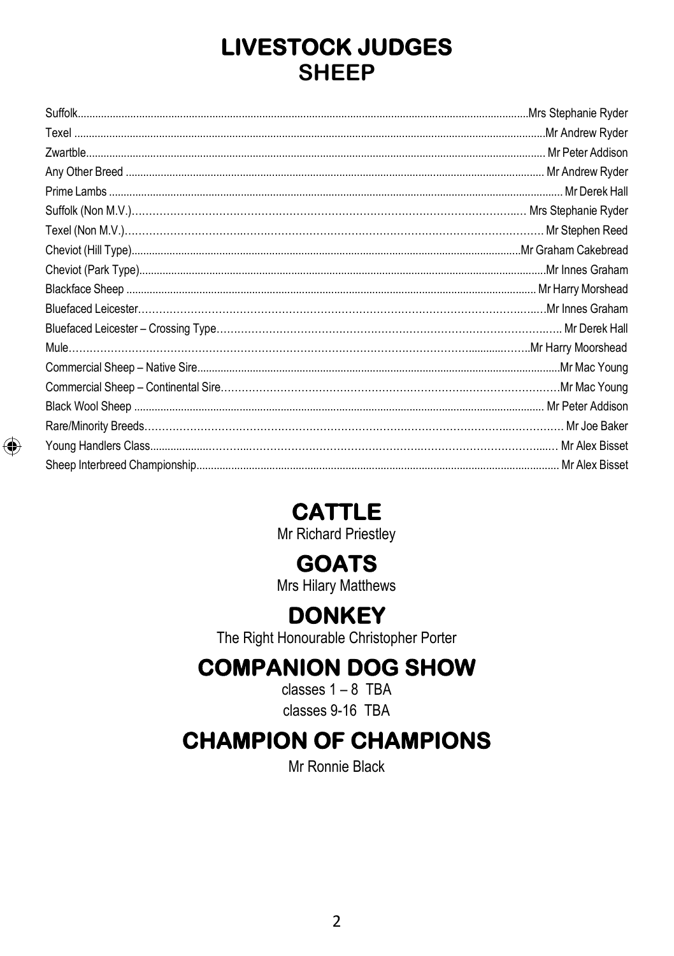## **LIVESTOCK JUDGES SHEEP**

| Mrs Stephanie Ryder |
|---------------------|
| Mr Andrew Ryder     |
| . Mr Peter Addison  |
|                     |
|                     |
| Mrs Stephanie Ryder |
| Mr Stephen Reed     |
|                     |
|                     |
|                     |
|                     |
|                     |
|                     |
|                     |
|                     |
|                     |
| Mr Joe Baker        |
| Mr Alex Bisset      |
|                     |

# **CATTLE**

⊕

Mr Richard Priestley

# **GOATS**

Mrs Hilary Matthews

# **DONKEY**

The Right Honourable Christopher Porter

## **COMPANION DOG SHOW**

classes  $1 - 8$  TBA classes 9-16 TBA

# **CHAMPION OF CHAMPIONS**

Mr Ronnie Black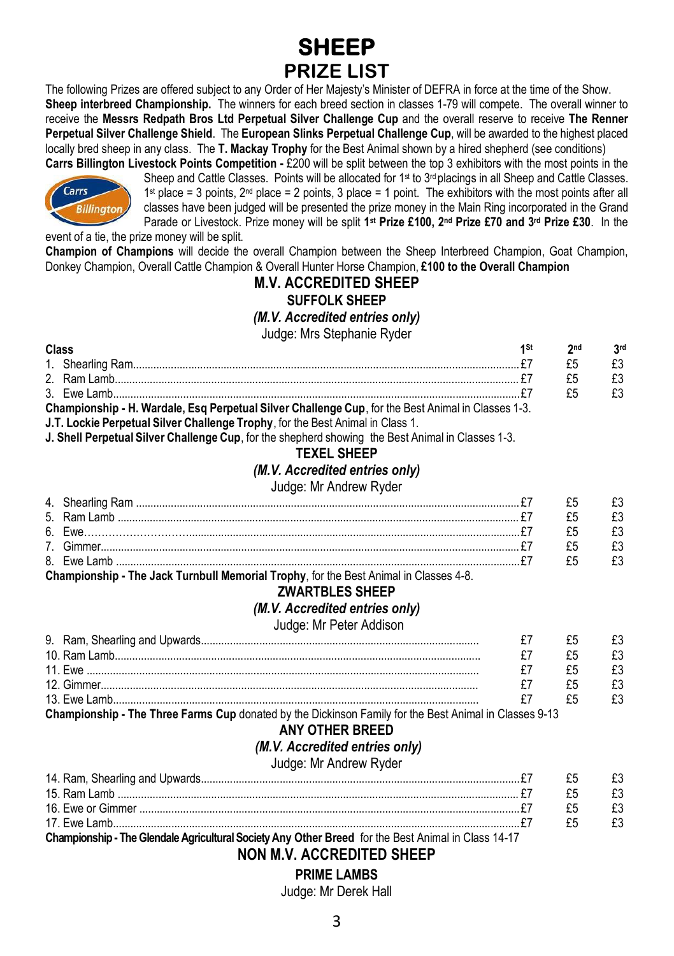### **SHEEP PRIZE LIST**

The following Prizes are offered subject to any Order of Her Majesty's Minister of DEFRA in force at the time of the Show. **Sheep interbreed Championship.** The winners for each breed section in classes 1-79 will compete. The overall winner to receive the **Messrs Redpath Bros Ltd Perpetual Silver Challenge Cup** and the overall reserve to receive **The Renner Perpetual Silver Challenge Shield**. The **European Slinks Perpetual Challenge Cup**, will be awarded to the highest placed locally bred sheep in any class. The **T. Mackay Trophy** for the Best Animal shown by a hired shepherd (see conditions) **Carrs Billington Livestock Points Competition -** £200 will be split between the top 3 exhibitors with the most points in the



Sheep and Cattle Classes. Points will be allocated for 1<sup>st</sup> to 3<sup>rd</sup> placings in all Sheep and Cattle Classes. 1<sup>st</sup> place = 3 points,  $2<sup>nd</sup>$  place = 2 points, 3 place = 1 point. The exhibitors with the most points after all classes have been judged will be presented the prize money in the Main Ring incorporated in the Grand Parade or Livestock. Prize money will be split **1st Prize £100, 2nd Prize £70 and 3rd Prize £30**. In the

event of a tie, the prize money will be split.

**Champion of Champions** will decide the overall Champion between the Sheep Interbreed Champion, Goat Champion, Donkey Champion, Overall Cattle Champion & Overall Hunter Horse Champion, **£100 to the Overall Champion**

### **M.V. ACCREDITED SHEEP SUFFOLK SHEEP** *(M.V. Accredited entries only)*

| Judge: Mrs Stephanie Ryder                                                                                                                                                                                                                                                                                      |                 |                 |                 |
|-----------------------------------------------------------------------------------------------------------------------------------------------------------------------------------------------------------------------------------------------------------------------------------------------------------------|-----------------|-----------------|-----------------|
| Class                                                                                                                                                                                                                                                                                                           | 1 <sup>St</sup> | 2 <sub>nd</sub> | 3 <sub>rd</sub> |
|                                                                                                                                                                                                                                                                                                                 |                 | £5              | £3              |
|                                                                                                                                                                                                                                                                                                                 |                 | £5              | £3              |
|                                                                                                                                                                                                                                                                                                                 |                 | f5              | £3              |
| Championship - H. Wardale, Esq Perpetual Silver Challenge Cup, for the Best Animal in Classes 1-3.<br>J.T. Lockie Perpetual Silver Challenge Trophy, for the Best Animal in Class 1.<br>J. Shell Perpetual Silver Challenge Cup, for the shepherd showing the Best Animal in Classes 1-3.<br><b>TEXEL SHEEP</b> |                 |                 |                 |
| (M.V. Accredited entries only)                                                                                                                                                                                                                                                                                  |                 |                 |                 |
| Judge: Mr Andrew Ryder                                                                                                                                                                                                                                                                                          |                 |                 |                 |
|                                                                                                                                                                                                                                                                                                                 |                 | £5              | £3              |
|                                                                                                                                                                                                                                                                                                                 |                 | £5              | £3              |
|                                                                                                                                                                                                                                                                                                                 |                 | £5              | £3              |
|                                                                                                                                                                                                                                                                                                                 |                 | £5              | £3              |
|                                                                                                                                                                                                                                                                                                                 |                 | £5              | £3              |
| Championship - The Jack Turnbull Memorial Trophy, for the Best Animal in Classes 4-8.<br><b>ZWARTBLES SHEEP</b><br>(M.V. Accredited entries only)<br>Judge: Mr Peter Addison                                                                                                                                    |                 |                 |                 |
|                                                                                                                                                                                                                                                                                                                 | £7              | £5              | £3              |
|                                                                                                                                                                                                                                                                                                                 | £7              | £5              | £3              |
|                                                                                                                                                                                                                                                                                                                 | £7              | £5              | £3              |
|                                                                                                                                                                                                                                                                                                                 | £7              | £5              | £3              |
|                                                                                                                                                                                                                                                                                                                 | £7              | £5              | £3              |
| Championship - The Three Farms Cup donated by the Dickinson Family for the Best Animal in Classes 9-13<br><b>ANY OTHER BREED</b>                                                                                                                                                                                |                 |                 |                 |
| (M.V. Accredited entries only)                                                                                                                                                                                                                                                                                  |                 |                 |                 |
| Judge: Mr Andrew Ryder                                                                                                                                                                                                                                                                                          |                 |                 |                 |
|                                                                                                                                                                                                                                                                                                                 |                 | £5              | £3              |
|                                                                                                                                                                                                                                                                                                                 |                 | £5              | £3              |
|                                                                                                                                                                                                                                                                                                                 |                 | £5              | £3              |
|                                                                                                                                                                                                                                                                                                                 |                 | £5              | £3              |
| Championship - The Glendale Agricultural Society Any Other Breed for the Best Animal in Class 14-17<br><b>NON M.V. ACCREDITED SHEEP</b>                                                                                                                                                                         |                 |                 |                 |

#### **PRIME LAMBS**

Judge: Mr Derek Hall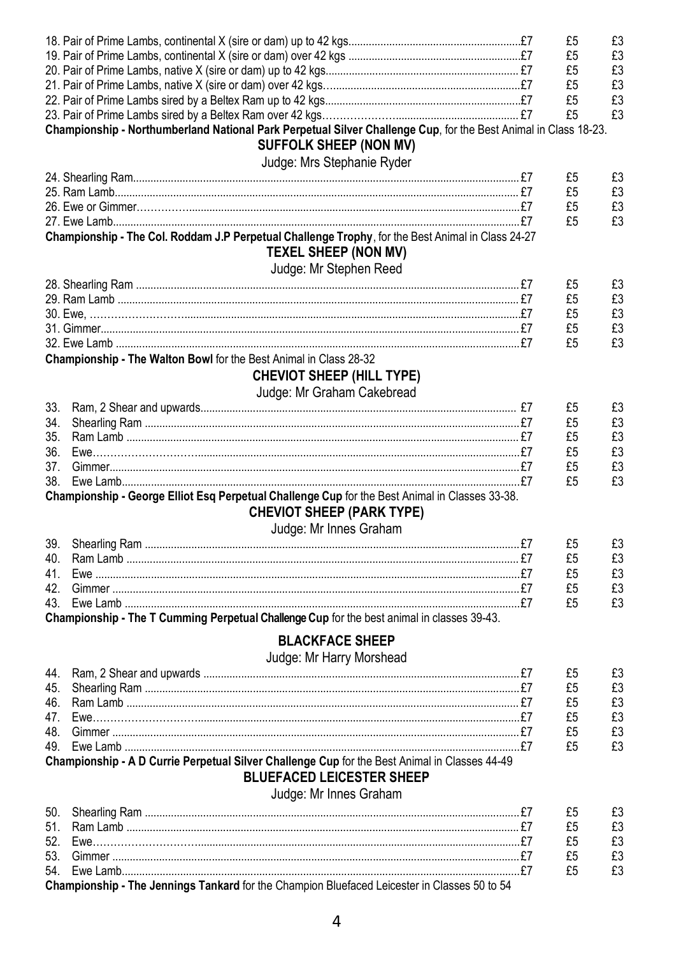|     |                                                                                                                                    | £5 | £3 |
|-----|------------------------------------------------------------------------------------------------------------------------------------|----|----|
|     |                                                                                                                                    | £5 | £3 |
|     |                                                                                                                                    | £5 | £3 |
|     |                                                                                                                                    | £5 | £3 |
|     |                                                                                                                                    | £5 | £3 |
|     |                                                                                                                                    | £5 | £3 |
|     | Championship - Northumberland National Park Perpetual Silver Challenge Cup, for the Best Animal in Class 18-23.                    |    |    |
|     | SUFFOLK SHEEP (NON MV)                                                                                                             |    |    |
|     |                                                                                                                                    |    |    |
|     | Judge: Mrs Stephanie Ryder                                                                                                         |    | £3 |
|     |                                                                                                                                    | £5 |    |
|     |                                                                                                                                    | £5 | £3 |
|     |                                                                                                                                    | £5 | £3 |
|     |                                                                                                                                    | £5 | £3 |
|     | Championship - The Col. Roddam J.P Perpetual Challenge Trophy, for the Best Animal in Class 24-27                                  |    |    |
|     | <b>TEXEL SHEEP (NON MV)</b>                                                                                                        |    |    |
|     | Judge: Mr Stephen Reed                                                                                                             |    |    |
|     |                                                                                                                                    | £5 | £3 |
|     |                                                                                                                                    | £5 | £3 |
|     |                                                                                                                                    | £5 | £3 |
|     |                                                                                                                                    | £5 | £3 |
|     |                                                                                                                                    | £5 | £3 |
|     | Championship - The Walton Bowl for the Best Animal in Class 28-32                                                                  |    |    |
|     | <b>CHEVIOT SHEEP (HILL TYPE)</b>                                                                                                   |    |    |
|     | Judge: Mr Graham Cakebread                                                                                                         |    |    |
|     |                                                                                                                                    |    |    |
| 33. |                                                                                                                                    | £5 | £3 |
| 34. |                                                                                                                                    | £5 | £3 |
| 35. |                                                                                                                                    | £5 | £3 |
| 36. |                                                                                                                                    | £5 | £3 |
| 37. |                                                                                                                                    | £5 | £3 |
| 38. |                                                                                                                                    | £5 | £3 |
|     | Championship - George Elliot Esq Perpetual Challenge Cup for the Best Animal in Classes 33-38.<br><b>CHEVIOT SHEEP (PARK TYPE)</b> |    |    |
|     | Judge: Mr Innes Graham                                                                                                             |    |    |
| 39. |                                                                                                                                    | £5 | £3 |
| 40. |                                                                                                                                    | £5 | £3 |
| 41. |                                                                                                                                    | £5 | £3 |
| 42. |                                                                                                                                    | £5 | £3 |
| 43. |                                                                                                                                    | £5 | £3 |
|     | Championship - The T Cumming Perpetual Challenge Cup for the best animal in classes 39-43.                                         |    |    |
|     |                                                                                                                                    |    |    |
|     | <b>BLACKFACE SHEEP</b>                                                                                                             |    |    |
|     | Judge: Mr Harry Morshead                                                                                                           |    |    |
| 44. |                                                                                                                                    | £5 | £3 |
| 45. |                                                                                                                                    | £5 | £3 |
| 46. |                                                                                                                                    | £5 | £3 |
| 47. |                                                                                                                                    | £5 | £3 |
| 48. |                                                                                                                                    | £5 | £3 |
| 49. |                                                                                                                                    | £5 | £3 |
|     | Championship - A D Currie Perpetual Silver Challenge Cup for the Best Animal in Classes 44-49<br><b>BLUEFACED LEICESTER SHEEP</b>  |    |    |
|     | Judge: Mr Innes Graham                                                                                                             |    |    |
| 50. |                                                                                                                                    | £5 | £3 |
| 51. |                                                                                                                                    | £5 | £3 |
| 52. |                                                                                                                                    | £5 | £3 |
| 53. |                                                                                                                                    | £5 | £3 |
| 54. |                                                                                                                                    | £5 | £3 |
|     | Championship - The Jennings Tankard for the Champion Bluefaced Leicester in Classes 50 to 54                                       |    |    |
|     |                                                                                                                                    |    |    |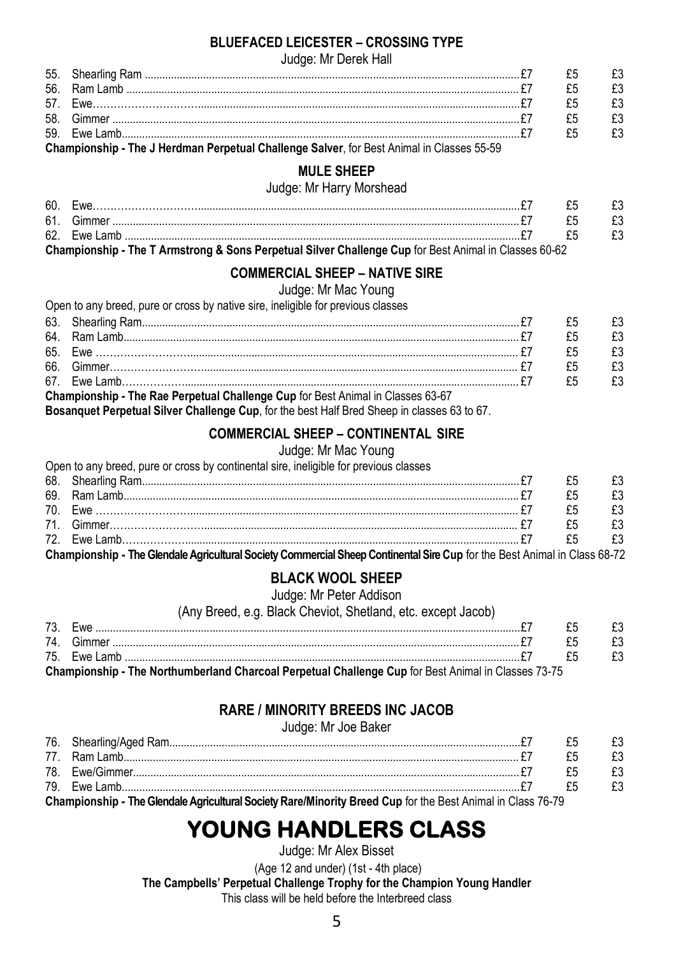### **BLUFFACED LEICESTER - CROSSING TYPE**

Judge: Mr Derek Hall

| 55. |         |  |  |
|-----|---------|--|--|
| 56. |         |  |  |
| 57. |         |  |  |
| 58. |         |  |  |
| 59. | Fwelamh |  |  |

Championship - The J Herdman Perpetual Challenge Salver, for Best Animal in Classes 55-59

### **MIII F SHEEP**

#### Judge: Mr Harry Morshead

| 60 |  |  |
|----|--|--|
| 61 |  |  |
| 62 |  |  |

Championship - The T Armstrong & Sons Perpetual Silver Challenge Cup for Best Animal in Classes 60-62

#### **COMMERCIAL SHEEP - NATIVE SIRE**

Judge: Mr Mac Young

| Open to any breed, pure or cross by native sire, ineligible for previous classes |  |  |
|----------------------------------------------------------------------------------|--|--|

| 63 |                                                                                        |  |  |
|----|----------------------------------------------------------------------------------------|--|--|
| 64 |                                                                                        |  |  |
| 65 |                                                                                        |  |  |
| 66 |                                                                                        |  |  |
| 67 |                                                                                        |  |  |
|    | <b>Championship - The Rae Perpetual Challenge Cup for Best Animal in Classes 63-67</b> |  |  |

Bosanquet Perpetual Silver Challenge Cup, for the best Half Bred Sheep in classes 63 to 67.

#### **COMMERCIAL SHEEP - CONTINENTAL SIRE**

#### Judge: Mr Mac Young

Open to any breed, pure or cross by continental sire, ineligible for previous classes

| Championship - The Glendale Agricultural Society Commercial Sheep Continental Sire Cup for the Best Animal in Class 68-72 |  |  |
|---------------------------------------------------------------------------------------------------------------------------|--|--|

### **BLACK WOOL SHEEP**

Judge: Mr Peter Addison

| (Any Breed, e.g. Black Cheviot, Shetland, etc. except Jacob)                                        |  |  |
|-----------------------------------------------------------------------------------------------------|--|--|
|                                                                                                     |  |  |
|                                                                                                     |  |  |
|                                                                                                     |  |  |
| Championship - The Northumberland Charcoal Perpetual Challenge Cup for Best Animal in Classes 73-75 |  |  |

### **RARE / MINORITY BREEDS INC JACOB**

Judge: Mr Joe Baker

| <b>Championship - The Glendale Agricultural Society Rare/Minority Breed Cup for the Best Animal in Class 76-79</b> |  |  |
|--------------------------------------------------------------------------------------------------------------------|--|--|

## **YOUNG HANDLERS CLASS**

Judge: Mr Alex Bisset

(Age 12 and under) (1st - 4th place)

The Campbells' Perpetual Challenge Trophy for the Champion Young Handler

This class will be held before the Interbreed class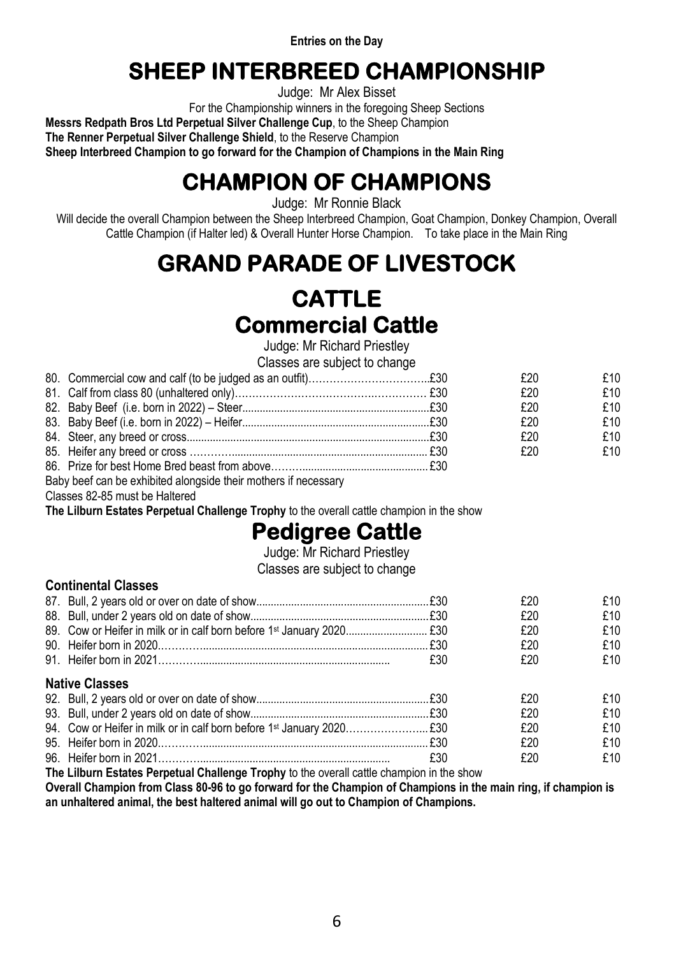**Entries on the Day**

# **SHEEP INTERBREED CHAMPIONSHIP**

Judge: Mr Alex Bisset

For the Championship winners in the foregoing Sheep Sections

**Messrs Redpath Bros Ltd Perpetual Silver Challenge Cup**, to the Sheep Champion

**The Renner Perpetual Silver Challenge Shield**, to the Reserve Champion

**Sheep Interbreed Champion to go forward for the Champion of Champions in the Main Ring**

# **CHAMPION OF CHAMPIONS**

Judge: Mr Ronnie Black

Will decide the overall Champion between the Sheep Interbreed Champion, Goat Champion, Donkey Champion, Overall Cattle Champion (if Halter led) & Overall Hunter Horse Champion. To take place in the Main Ring

# **GRAND PARADE OF LIVESTOCK**

## **CATTLE Commercial Cattle**

Judge: Mr Richard Priestley

Classes are subject to change

|  | £20 | f10 |
|--|-----|-----|
|  | £20 | f10 |
|  | £20 | f10 |
|  | £20 | £10 |
|  | £20 | f10 |
|  | £20 | f10 |
|  |     |     |

Baby beef can be exhibited alongside their mothers if necessary

Classes 82-85 must be Haltered

**The Lilburn Estates Perpetual Challenge Trophy** to the overall cattle champion in the show

### **Pedigree Cattle**

Judge: Mr Richard Priestley

Classes are subject to change

#### **Continental Classes**

|                       |     | f 20 | £10  |
|-----------------------|-----|------|------|
|                       |     | £20  | £10  |
|                       |     | f20  | £10  |
|                       |     | £20  | £10  |
|                       | £30 | £20  | £10  |
| <b>Native Classes</b> |     |      |      |
|                       |     | £20  | £10. |
|                       |     | £20  | £10  |
|                       |     | £20  | £10  |
|                       |     | f20  | £10  |
|                       | £30 | £20  | £10  |
|                       |     |      |      |

**The Lilburn Estates Perpetual Challenge Trophy** to the overall cattle champion in the show

**Overall Champion from Class 80-96 to go forward for the Champion of Champions in the main ring, if champion is an unhaltered animal, the best haltered animal will go out to Champion of Champions.**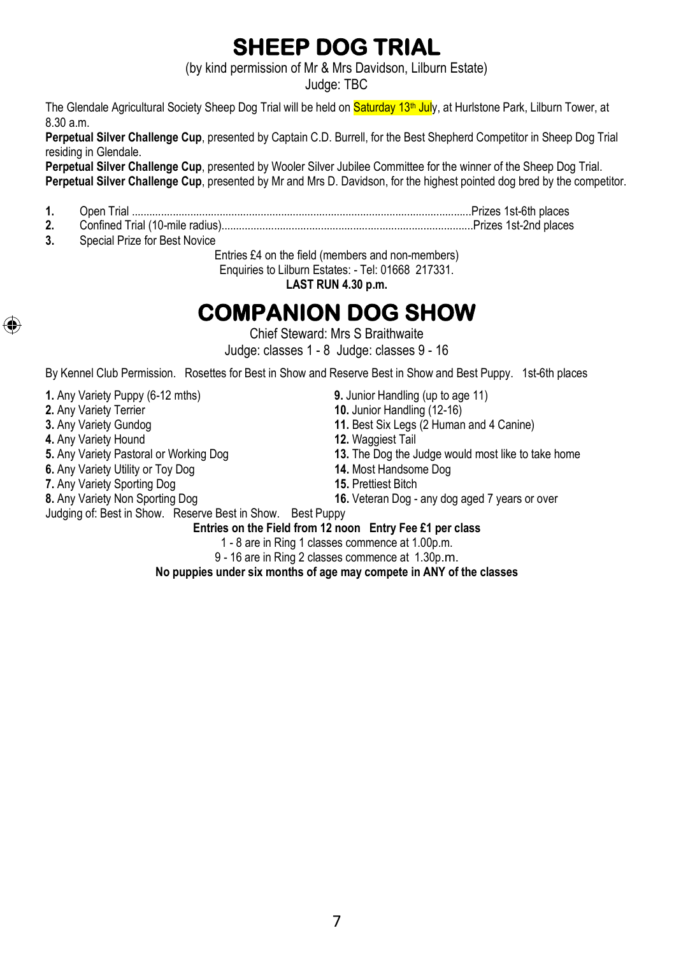## **SHEEP DOG TRIAL**

(by kind permission of Mr & Mrs Davidson, Lilburn Estate)

Judge: TBC

The Glendale Agricultural Society Sheep Dog Trial will be held on **Saturday 13th July**, at Hurlstone Park, Lilburn Tower, at 8.30 a.m.

**Perpetual Silver Challenge Cup**, presented by Captain C.D. Burrell, for the Best Shepherd Competitor in Sheep Dog Trial residing in Glendale.

**Perpetual Silver Challenge Cup**, presented by Wooler Silver Jubilee Committee for the winner of the Sheep Dog Trial. **Perpetual Silver Challenge Cup**, presented by Mr and Mrs D. Davidson, for the highest pointed dog bred by the competitor.

- **1.** Open Trial ....................................................................................................................Prizes 1st-6th places
- **2.** Confined Trial (10-mile radius)......................................................................................Prizes 1st-2nd places
- **3.** Special Prize for Best Novice

Entries £4 on the field (members and non-members)

Enquiries to Lilburn Estates: - Tel: 01668 217331.

**LAST RUN 4.30 p.m.**

### **COMPANION DOG SHOW**

Chief Steward: Mrs S Braithwaite

Judge: classes 1 - 8 Judge: classes 9 - 16

By Kennel Club Permission. Rosettes for Best in Show and Reserve Best in Show and Best Puppy. 1st-6th places

- **1.** Any Variety Puppy (6-12 mths) **9.** Junior Handling (up to age 11) **9.** Any Variety Terrier **10.** Junior Handling (12-16)
- 

⊕

- 
- 
- **4.** Any Variety Hound **12.** Any Variety Pastoral or Working Dog
- **6.** Any Variety Utility or Toy Dog **14.** Most Handsome Dog **14.** Any Variety Sporting Dog **15.** Prettiest Bitch
- 
- **7.** Any Variety Sporting Dog<br>**8.** Any Variety Non Sporting Dog
	-
- 
- **2.** Any Variety Terrier **10. 10.** Junior Handling (12-16)<br> **11.** Best Six Legs (2 Human **11.** Best Six Legs (2 Human
	- **11.** Best Six Legs (2 Human and 4 Canine)<br>**12.** Waggiest Tail
	-
	- **13.** The Dog the Judge would most like to take home
	-
	-
	- **16.** Veteran Dog any dog aged 7 years or over

Judging of: Best in Show. Reserve Best in Show. Best Puppy

**Entries on the Field from 12 noon Entry Fee £1 per class**

- 1 8 are in Ring 1 classes commence at 1.00p.m.
- 9 16 are in Ring 2 classes commence at 1.30p.m.

**No puppies under six months of age may compete in ANY of the classes**